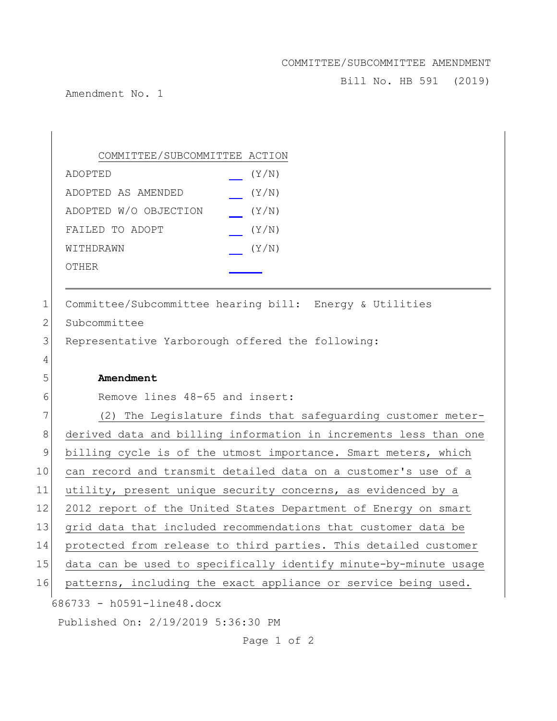## COMMITTEE/SUBCOMMITTEE AMENDMENT

Bill No. HB 591 (2019)

Amendment No. 1

|              | COMMITTEE/SUBCOMMITTEE ACTION                                    |
|--------------|------------------------------------------------------------------|
|              | (Y/N)<br>ADOPTED                                                 |
|              | ADOPTED AS AMENDED<br>(Y/N)                                      |
|              | ADOPTED W/O OBJECTION<br>(Y/N)                                   |
|              | FAILED TO ADOPT<br>(Y/N)                                         |
|              | (Y/N)<br>WITHDRAWN                                               |
|              | OTHER                                                            |
|              |                                                                  |
| 1            | Committee/Subcommittee hearing bill: Energy & Utilities          |
| $\mathbf{2}$ | Subcommittee                                                     |
| 3            | Representative Yarborough offered the following:                 |
| 4            |                                                                  |
| 5            | Amendment                                                        |
| 6            | Remove lines 48-65 and insert:                                   |
| 7            | (2) The Legislature finds that safeguarding customer meter-      |
| 8            | derived data and billing information in increments less than one |
| $\mathsf 9$  | billing cycle is of the utmost importance. Smart meters, which   |
| 10           | can record and transmit detailed data on a customer's use of a   |
| 11           | utility, present unique security concerns, as evidenced by a     |
| 12           | 2012 report of the United States Department of Energy on smart   |
| 13           | grid data that included recommendations that customer data be    |
| 14           | protected from release to third parties. This detailed customer  |
| 15           | data can be used to specifically identify minute-by-minute usage |
| 16           | patterns, including the exact appliance or service being used.   |
|              | 686733 - h0591-line48.docx                                       |
|              | Published On: 2/19/2019 5:36:30 PM                               |

Page 1 of 2